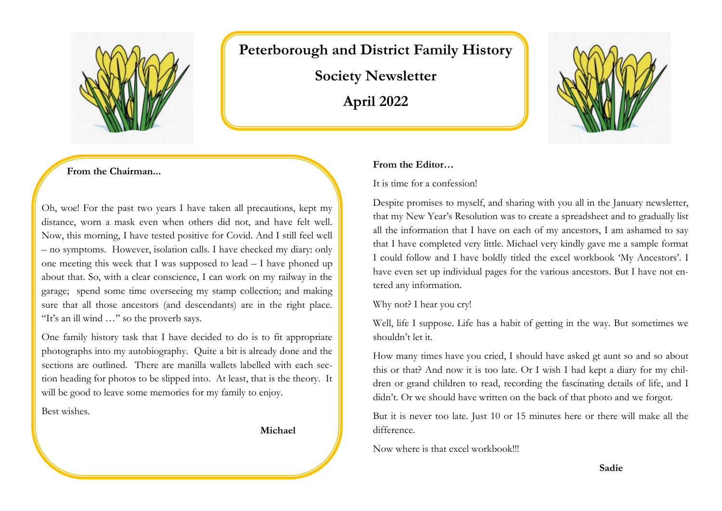

# **Peterborough and District Family History**

**Society Newsletter April 2022**



**From the Chairman...**

Oh, woe! For the past two years I have taken all precautions, kept my distance, worn a mask even when others did not, and have felt well. Now, this morning, I have tested positive for Covid. And I still feel well – no symptoms. However, isolation calls. I have checked my diary: only one meeting this week that I was supposed to lead – I have phoned up about that. So, with a clear conscience, I can work on my railway in the garage; spend some time overseeing my stamp collection; and making sure that all those ancestors (and descendants) are in the right place. "It's an ill wind …" so the proverb says.

One family history task that I have decided to do is to fit appropriate photographs into my autobiography. Quite a bit is already done and the sections are outlined. There are manilla wallets labelled with each section heading for photos to be slipped into. At least, that is the theory. It will be good to leave some memories for my family to enjoy.

Best wishes.

 **Michael**

#### **From the Editor…**

It is time for a confession!

Despite promises to myself, and sharing with you all in the January newsletter, that my New Year's Resolution was to create a spreadsheet and to gradually list all the information that I have on each of my ancestors, I am ashamed to say that I have completed very little. Michael very kindly gave me a sample format I could follow and I have boldly titled the excel workbook 'My Ancestors'. I have even set up individual pages for the various ancestors. But I have not entered any information.

Why not? I hear you cry!

Well, life I suppose. Life has a habit of getting in the way. But sometimes we shouldn't let it.

How many times have you cried, I should have asked gt aunt so and so about this or that? And now it is too late. Or I wish I had kept a diary for my children or grand children to read, recording the fascinating details of life, and I didn't. Or we should have written on the back of that photo and we forgot.

But it is never too late. Just 10 or 15 minutes here or there will make all the difference.

Now where is that excel workbook!!!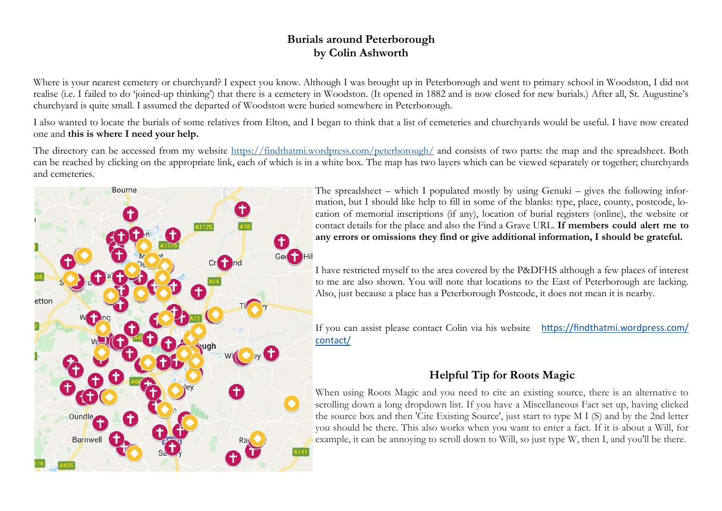# **Burials around Peterborough by Colin Ashworth**

Where is your nearest cemetery or churchyard? I expect you know. Although I was brought up in Peterborough and went to primary school in Woodston, I did not realise (i.e. I failed to do 'joined-up thinking') that there is a cemetery in Woodston. (It opened in 1882 and is now closed for new burials.) After all, St. Augustine's churchyard is quite small. I assumed the departed of Woodston were buried somewhere in Peterborough.

I also wanted to locate the burials of some relatives from Elton, and I began to think that a list of cemeteries and churchyards would be useful. I have now created one and **this is where I need your help.**

The directory can be accessed from my website <https://findthatmi.wordpress.com/peterborough/> and consists of two parts: the map and the spreadsheet. Both can be reached by clicking on the appropriate link, each of which is in a white box. The map has two layers which can be viewed separately or together; churchyards and cemeteries.



The spreadsheet – which I populated mostly by using Genuki – gives the following information, but I should like help to fill in some of the blanks: type, place, county, postcode, location of memorial inscriptions (if any), location of burial registers (online), the website or contact details for the place and also the Find a Grave URL. **If members could alert me to any errors or omissions they find or give additional information, I should be grateful.**

I have restricted myself to the area covered by the P&DFHS although a few places of interest to me are also shown. You will note that locations to the East of Peterborough are lacking. Also, just because a place has a Peterborough Postcode, it does not mean it is nearby.

If you can assist please contact Colin via his website [https://findthatmi.wordpress.com/](https://findthatmi.wordpress.com/contact/) [contact/](https://findthatmi.wordpress.com/contact/)

# **Helpful Tip for Roots Magic**

When using Roots Magic and you need to cite an existing source, there is an alternative to scrolling down a long dropdown list. If you have a Miscellaneous Fact set up, having clicked the source box and then 'Cite Existing Source', just start to type M I (S) and by the 2nd letter you should be there. This also works when you want to enter a fact. If it is about a Will, for example, it can be annoying to scroll down to Will, so just type W, then I, and you'll be there.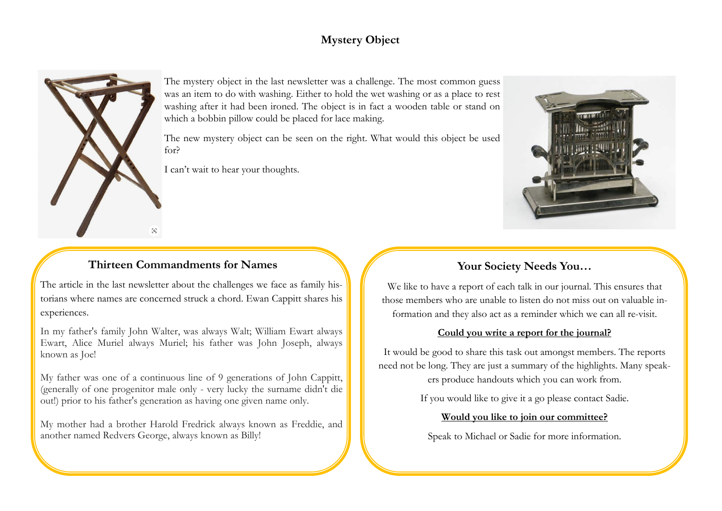# **Mystery Object**



The mystery object in the last newsletter was a challenge. The most common guess was an item to do with washing. Either to hold the wet washing or as a place to rest washing after it had been ironed. The object is in fact a wooden table or stand on which a bobbin pillow could be placed for lace making.

The new mystery object can be seen on the right. What would this object be used for?

I can't wait to hear your thoughts.

# **Thirteen Commandments for Names**

The article in the last newsletter about the challenges we face as family historians where names are concerned struck a chord. Ewan Cappitt shares his experiences.

In my father's family John Walter, was always Walt; William Ewart always Ewart, Alice Muriel always Muriel; his father was John Joseph, always known as Joe!

My father was one of a continuous line of 9 generations of John Cappitt, (generally of one progenitor male only - very lucky the surname didn't die out!) prior to his father's generation as having one given name only.

My mother had a brother Harold Fredrick always known as Freddie, and another named Redvers George, always known as Billy!



### **Your Society Needs You…**

We like to have a report of each talk in our journal. This ensures that those members who are unable to listen do not miss out on valuable information and they also act as a reminder which we can all re-visit.

#### **Could you write a report for the journal?**

It would be good to share this task out amongst members. The reports need not be long. They are just a summary of the highlights. Many speak-

ers produce handouts which you can work from.

If you would like to give it a go please contact Sadie.

#### **Would you like to join our committee?**

Speak to Michael or Sadie for more information.